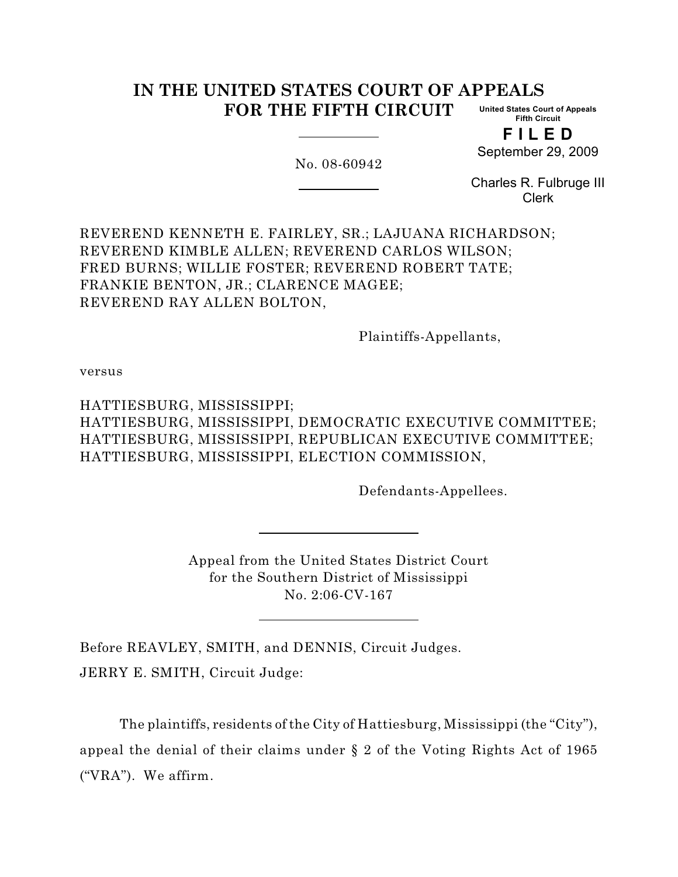#### **IN THE UNITED STATES COURT OF APPEALS FOR THE FIFTH CIRCUIT United States Court of Appeals Fifth Circuit**

No. 08-60942

**F I L E D**

September 29, 2009

Charles R. Fulbruge III Clerk

REVEREND KENNETH E. FAIRLEY, SR.; LAJUANA RICHARDSON; REVEREND KIMBLE ALLEN; REVEREND CARLOS WILSON; FRED BURNS; WILLIE FOSTER; REVEREND ROBERT TATE; FRANKIE BENTON, JR.; CLARENCE MAGEE; REVEREND RAY ALLEN BOLTON,

Plaintiffs-Appellants,

versus

HATTIESBURG, MISSISSIPPI; HATTIESBURG, MISSISSIPPI, DEMOCRATIC EXECUTIVE COMMITTEE; HATTIESBURG, MISSISSIPPI, REPUBLICAN EXECUTIVE COMMITTEE; HATTIESBURG, MISSISSIPPI, ELECTION COMMISSION,

Defendants-Appellees.

Appeal from the United States District Court for the Southern District of Mississippi No. 2:06-CV-167

Before REAVLEY, SMITH, and DENNIS, Circuit Judges. JERRY E. SMITH, Circuit Judge:

The plaintiffs, residents of the City of Hattiesburg, Mississippi (the "City"), appeal the denial of their claims under § 2 of the Voting Rights Act of 1965 ("VRA"). We affirm.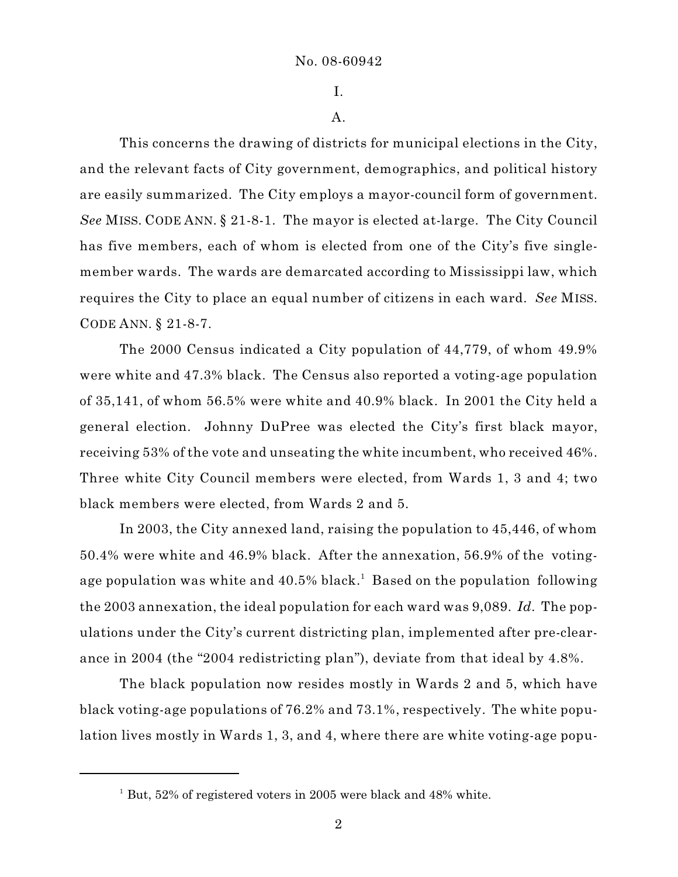I.

A.

This concerns the drawing of districts for municipal elections in the City, and the relevant facts of City government, demographics, and political history are easily summarized. The City employs a mayor-council form of government. *See* MISS. CODE ANN. § 21-8-1. The mayor is elected at-large. The City Council has five members, each of whom is elected from one of the City's five singlemember wards. The wards are demarcated according to Mississippi law, which requires the City to place an equal number of citizens in each ward. *See* MISS. CODE ANN. § 21-8-7.

The 2000 Census indicated a City population of 44,779, of whom 49.9% were white and 47.3% black. The Census also reported a voting-age population of 35,141, of whom 56.5% were white and 40.9% black. In 2001 the City held a general election. Johnny DuPree was elected the City's first black mayor, receiving 53% of the vote and unseating the white incumbent, who received 46%. Three white City Council members were elected, from Wards 1, 3 and 4; two black members were elected, from Wards 2 and 5.

In 2003, the City annexed land, raising the population to 45,446, of whom 50.4% were white and 46.9% black. After the annexation, 56.9% of the votingage population was white and  $40.5\%$  black.<sup>1</sup> Based on the population following the 2003 annexation, the ideal population for each ward was 9,089. *Id.* The populations under the City's current districting plan, implemented after pre-clearance in 2004 (the "2004 redistricting plan"), deviate from that ideal by 4.8%.

The black population now resides mostly in Wards 2 and 5, which have black voting-age populations of 76.2% and 73.1%, respectively. The white population lives mostly in Wards 1, 3, and 4, where there are white voting-age popu-

 $1$  But, 52% of registered voters in 2005 were black and 48% white.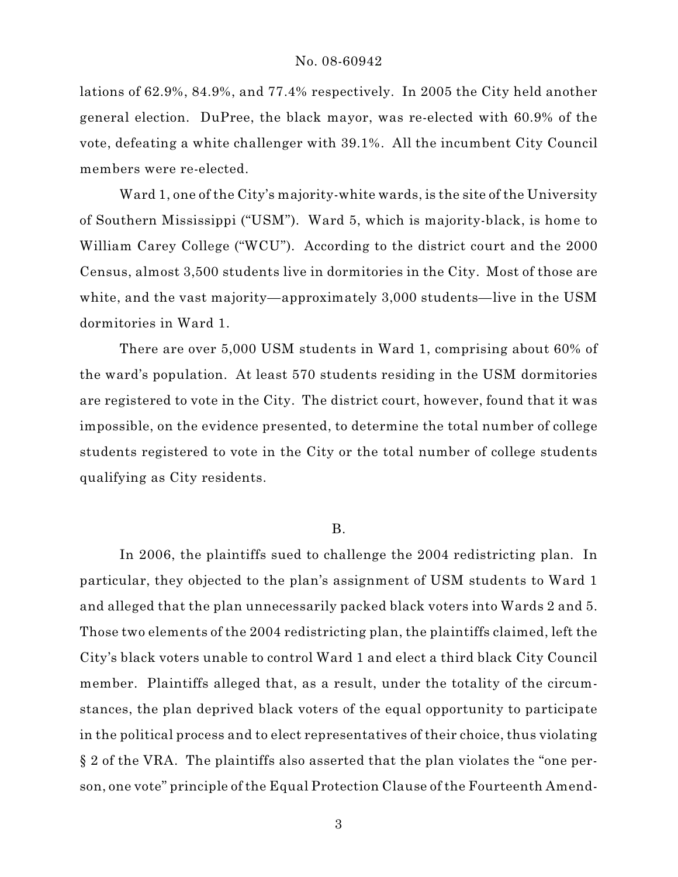lations of 62.9%, 84.9%, and 77.4% respectively. In 2005 the City held another general election. DuPree, the black mayor, was re-elected with 60.9% of the vote, defeating a white challenger with 39.1%. All the incumbent City Council members were re-elected.

Ward 1, one of the City's majority-white wards, is the site of the University of Southern Mississippi ("USM"). Ward 5, which is majority-black, is home to William Carey College ("WCU"). According to the district court and the 2000 Census, almost 3,500 students live in dormitories in the City. Most of those are white, and the vast majority—approximately 3,000 students—live in the USM dormitories in Ward 1.

There are over 5,000 USM students in Ward 1, comprising about 60% of the ward's population. At least 570 students residing in the USM dormitories are registered to vote in the City. The district court, however, found that it was impossible, on the evidence presented, to determine the total number of college students registered to vote in the City or the total number of college students qualifying as City residents.

#### B.

In 2006, the plaintiffs sued to challenge the 2004 redistricting plan. In particular, they objected to the plan's assignment of USM students to Ward 1 and alleged that the plan unnecessarily packed black voters into Wards 2 and 5. Those two elements of the 2004 redistricting plan, the plaintiffs claimed, left the City's black voters unable to control Ward 1 and elect a third black City Council member. Plaintiffs alleged that, as a result, under the totality of the circumstances, the plan deprived black voters of the equal opportunity to participate in the political process and to elect representatives of their choice, thus violating § 2 of the VRA. The plaintiffs also asserted that the plan violates the "one person, one vote" principle of the Equal Protection Clause of the Fourteenth Amend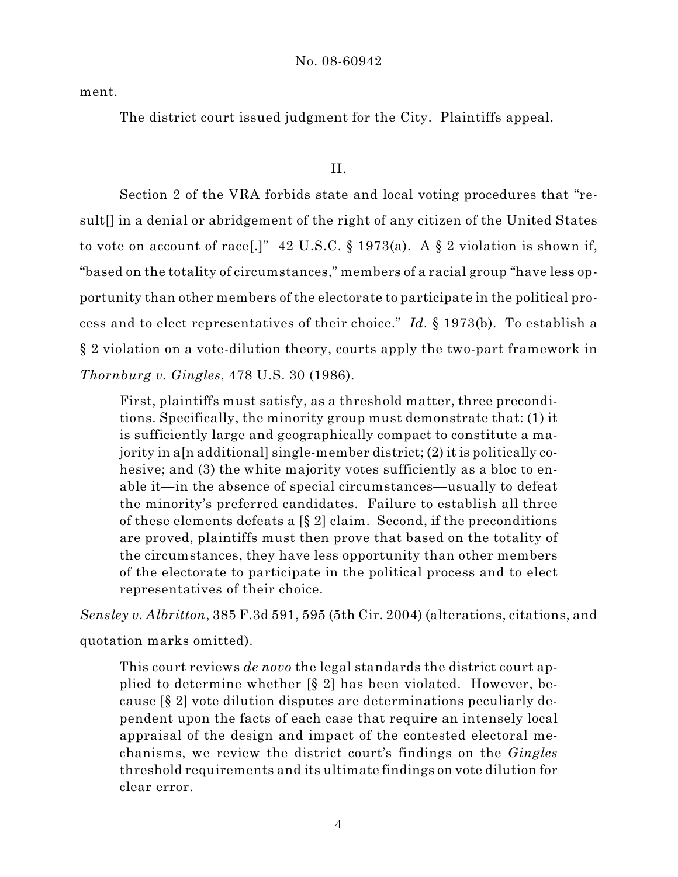ment.

The district court issued judgment for the City. Plaintiffs appeal.

# II.

Section 2 of the VRA forbids state and local voting procedures that "result[] in a denial or abridgement of the right of any citizen of the United States to vote on account of race[.]"  $42 \text{ U.S.C.}$  § 1973(a). A § 2 violation is shown if, "based on the totality of circumstances," members of a racial group "have less opportunity than other members of the electorate to participate in the political process and to elect representatives of their choice." *Id.* § 1973(b). To establish a § 2 violation on a vote-dilution theory, courts apply the two-part framework in *Thornburg v. Gingles*, 478 U.S. 30 (1986).

First, plaintiffs must satisfy, as a threshold matter, three preconditions. Specifically, the minority group must demonstrate that: (1) it is sufficiently large and geographically compact to constitute a majority in a[n additional] single-member district; (2) it is politically cohesive; and (3) the white majority votes sufficiently as a bloc to enable it—in the absence of special circumstances—usually to defeat the minority's preferred candidates. Failure to establish all three of these elements defeats a [§ 2] claim. Second, if the preconditions are proved, plaintiffs must then prove that based on the totality of the circumstances, they have less opportunity than other members of the electorate to participate in the political process and to elect representatives of their choice.

*Sensley v. Albritton*, 385 F.3d 591, 595 (5th Cir. 2004) (alterations, citations, and

quotation marks omitted).

This court reviews *de novo* the legal standards the district court applied to determine whether [§ 2] has been violated. However, because [§ 2] vote dilution disputes are determinations peculiarly dependent upon the facts of each case that require an intensely local appraisal of the design and impact of the contested electoral mechanisms, we review the district court's findings on the *Gingles* threshold requirements and its ultimate findings on vote dilution for clear error.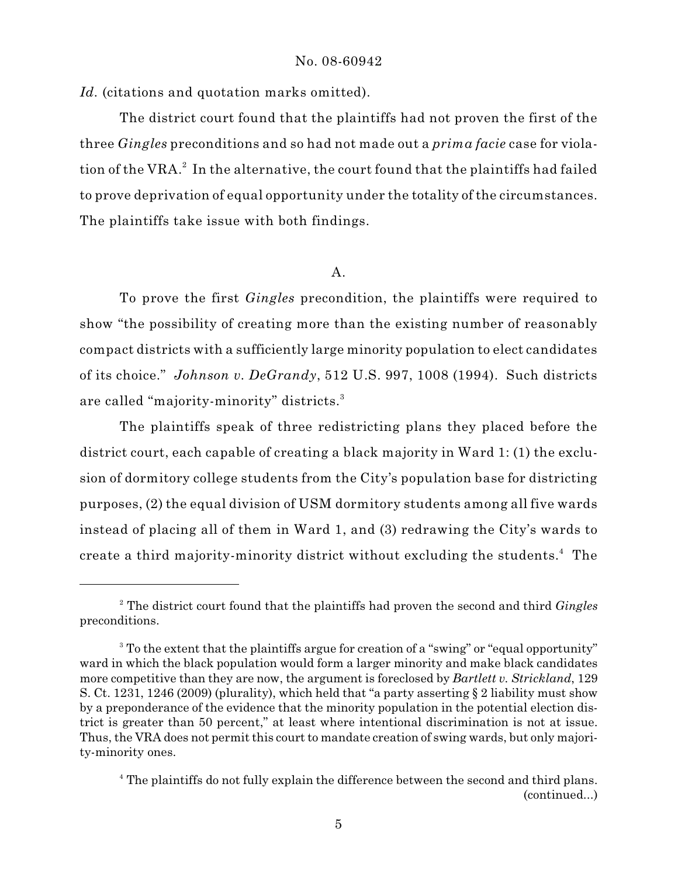Id. (citations and quotation marks omitted).

The district court found that the plaintiffs had not proven the first of the three *Gingles* preconditions and so had not made out a *prima facie* case for violation of the VRA. $^2$  In the alternative, the court found that the plaintiffs had failed to prove deprivation of equal opportunity under the totality of the circumstances. The plaintiffs take issue with both findings.

# A.

To prove the first *Gingles* precondition, the plaintiffs were required to show "the possibility of creating more than the existing number of reasonably compact districts with a sufficiently large minority population to elect candidates of its choice." *Johnson v. DeGrandy*, 512 U.S. 997, 1008 (1994). Such districts are called "majority-minority" districts.<sup>3</sup>

The plaintiffs speak of three redistricting plans they placed before the district court, each capable of creating a black majority in Ward 1: (1) the exclusion of dormitory college students from the City's population base for districting purposes, (2) the equal division of USM dormitory students among all five wards instead of placing all of them in Ward 1, and (3) redrawing the City's wards to create a third majority-minority district without excluding the students.<sup>4</sup> The

The district court found that the plaintiffs had proven the second and third *Gingles* <sup>2</sup> preconditions.

<sup>&</sup>lt;sup>3</sup> To the extent that the plaintiffs argue for creation of a "swing" or "equal opportunity" ward in which the black population would form a larger minority and make black candidates more competitive than they are now, the argument is foreclosed by *Bartlett v. Strickland*, 129 S. Ct. 1231, 1246 (2009) (plurality), which held that "a party asserting § 2 liability must show by a preponderance of the evidence that the minority population in the potential election district is greater than 50 percent," at least where intentional discrimination is not at issue. Thus, the VRA does not permit this court to mandate creation of swing wards, but only majority-minority ones.

<sup>&</sup>lt;sup>4</sup> The plaintiffs do not fully explain the difference between the second and third plans. (continued...)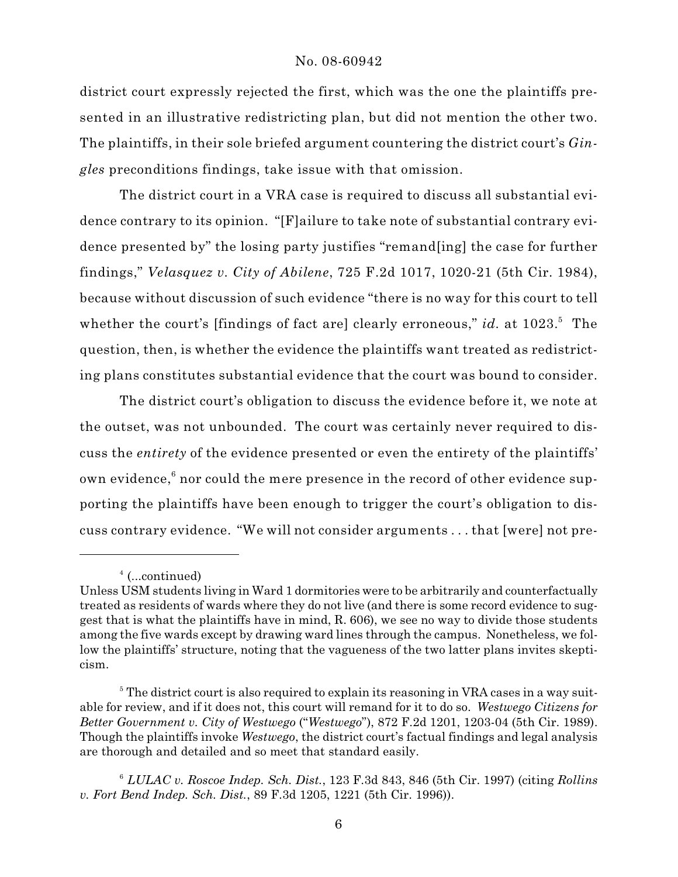district court expressly rejected the first, which was the one the plaintiffs presented in an illustrative redistricting plan, but did not mention the other two. The plaintiffs, in their sole briefed argument countering the district court's *Gingles* preconditions findings, take issue with that omission.

The district court in a VRA case is required to discuss all substantial evidence contrary to its opinion. "[F]ailure to take note of substantial contrary evidence presented by" the losing party justifies "remand[ing] the case for further findings," *Velasquez v. City of Abilene*, 725 F.2d 1017, 1020-21 (5th Cir. 1984), because without discussion of such evidence "there is no way for this court to tell whether the court's [findings of fact are] clearly erroneous," *id.* at 1023.<sup>5</sup> The question, then, is whether the evidence the plaintiffs want treated as redistricting plans constitutes substantial evidence that the court was bound to consider.

The district court's obligation to discuss the evidence before it, we note at the outset, was not unbounded. The court was certainly never required to discuss the *entirety* of the evidence presented or even the entirety of the plaintiffs' own evidence, $6$  nor could the mere presence in the record of other evidence supporting the plaintiffs have been enough to trigger the court's obligation to discuss contrary evidence. "We will not consider arguments . . . that [were] not pre-

 $4$  (...continued)

Unless USM students living in Ward 1 dormitories were to be arbitrarily and counterfactually treated as residents of wards where they do not live (and there is some record evidence to suggest that is what the plaintiffs have in mind, R. 606), we see no way to divide those students among the five wards except by drawing ward lines through the campus. Nonetheless, we follow the plaintiffs' structure, noting that the vagueness of the two latter plans invites skepticism.

 $\delta$  The district court is also required to explain its reasoning in VRA cases in a way suitable for review, and if it does not, this court will remand for it to do so. *Westwego Citizens for Better Government v. City of Westwego* ("*Westwego*"), 872 F.2d 1201, 1203-04 (5th Cir. 1989). Though the plaintiffs invoke *Westwego*, the district court's factual findings and legal analysis are thorough and detailed and so meet that standard easily.

*LULAC v. Roscoe Indep. Sch. Dist.*, 123 F.3d 843, 846 (5th Cir. 1997) (citing *Rollins* 6 *v. Fort Bend Indep. Sch. Dist.*, 89 F.3d 1205, 1221 (5th Cir. 1996)).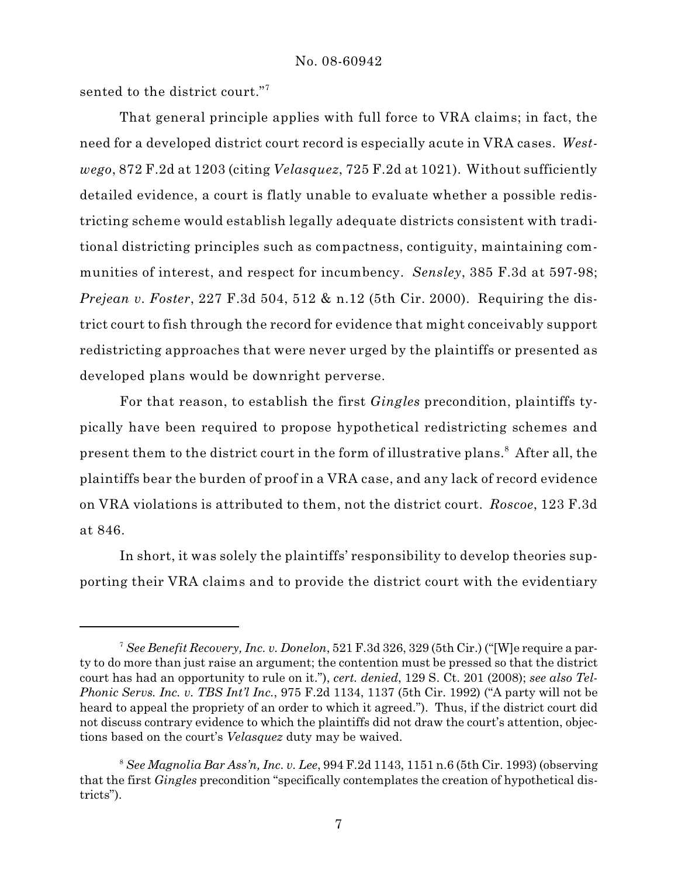sented to the district court."<sup>7</sup>

That general principle applies with full force to VRA claims; in fact, the need for a developed district court record is especially acute in VRA cases. *Westwego*, 872 F.2d at 1203 (citing *Velasquez*, 725 F.2d at 1021). Without sufficiently detailed evidence, a court is flatly unable to evaluate whether a possible redistricting scheme would establish legally adequate districts consistent with traditional districting principles such as compactness, contiguity, maintaining communities of interest, and respect for incumbency. *Sensley*, 385 F.3d at 597-98; *Prejean v. Foster*, 227 F.3d 504, 512 & n.12 (5th Cir. 2000). Requiring the district court to fish through the record for evidence that might conceivably support redistricting approaches that were never urged by the plaintiffs or presented as developed plans would be downright perverse.

For that reason, to establish the first *Gingles* precondition, plaintiffs typically have been required to propose hypothetical redistricting schemes and present them to the district court in the form of illustrative plans.<sup>8</sup> After all, the plaintiffs bear the burden of proof in a VRA case, and any lack of record evidence on VRA violations is attributed to them, not the district court. *Roscoe*, 123 F.3d at 846.

In short, it was solely the plaintiffs' responsibility to develop theories supporting their VRA claims and to provide the district court with the evidentiary

*See Benefit Recovery, Inc. v. Donelon*, 521 F.3d 326, 329 (5th Cir.) ("[W]e require a par-7 ty to do more than just raise an argument; the contention must be pressed so that the district court has had an opportunity to rule on it."), *cert. denied*, 129 S. Ct. 201 (2008); *see also Tel-Phonic Servs. Inc. v. TBS Int'l Inc.*, 975 F.2d 1134, 1137 (5th Cir. 1992) ("A party will not be heard to appeal the propriety of an order to which it agreed."). Thus, if the district court did not discuss contrary evidence to which the plaintiffs did not draw the court's attention, objections based on the court's *Velasquez* duty may be waived.

*See Magnolia Bar Ass'n, Inc. v. Lee*, 994 F.2d 1143, 1151 n.6 (5th Cir. 1993) (observing <sup>8</sup> that the first *Gingles* precondition "specifically contemplates the creation of hypothetical districts").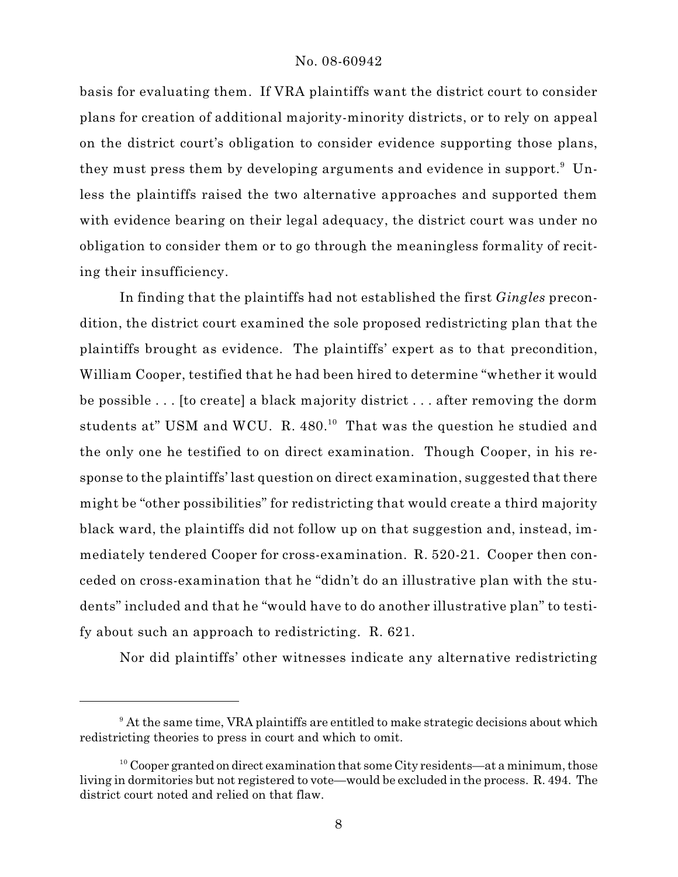basis for evaluating them. If VRA plaintiffs want the district court to consider plans for creation of additional majority-minority districts, or to rely on appeal on the district court's obligation to consider evidence supporting those plans, they must press them by developing arguments and evidence in support.<sup>9</sup> Unless the plaintiffs raised the two alternative approaches and supported them with evidence bearing on their legal adequacy, the district court was under no obligation to consider them or to go through the meaningless formality of reciting their insufficiency.

In finding that the plaintiffs had not established the first *Gingles* precondition, the district court examined the sole proposed redistricting plan that the plaintiffs brought as evidence. The plaintiffs' expert as to that precondition, William Cooper, testified that he had been hired to determine "whether it would be possible . . . [to create] a black majority district . . . after removing the dorm students at" USM and WCU. R.  $480$ <sup>10</sup> That was the question he studied and the only one he testified to on direct examination. Though Cooper, in his response to the plaintiffs' last question on direct examination, suggested that there might be "other possibilities" for redistricting that would create a third majority black ward, the plaintiffs did not follow up on that suggestion and, instead, immediately tendered Cooper for cross-examination. R. 520-21. Cooper then conceded on cross-examination that he "didn't do an illustrative plan with the students" included and that he "would have to do another illustrative plan" to testify about such an approach to redistricting. R. 621.

Nor did plaintiffs' other witnesses indicate any alternative redistricting

<sup>&</sup>lt;sup>9</sup> At the same time, VRA plaintiffs are entitled to make strategic decisions about which redistricting theories to press in court and which to omit.

<sup>&</sup>lt;sup>10</sup> Cooper granted on direct examination that some City residents—at a minimum, those living in dormitories but not registered to vote—would be excluded in the process. R. 494. The district court noted and relied on that flaw.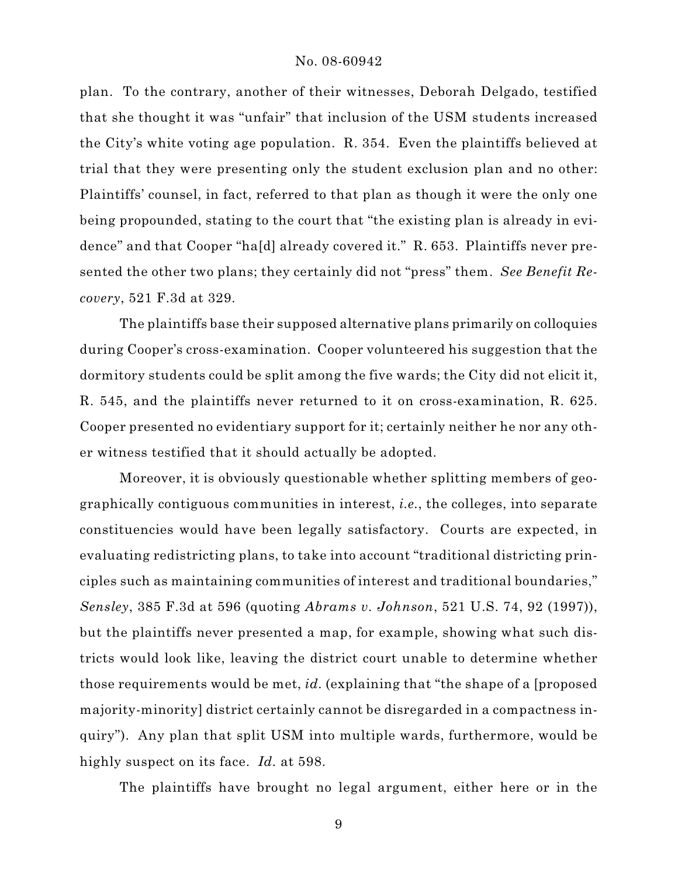plan. To the contrary, another of their witnesses, Deborah Delgado, testified that she thought it was "unfair" that inclusion of the USM students increased the City's white voting age population. R. 354. Even the plaintiffs believed at trial that they were presenting only the student exclusion plan and no other: Plaintiffs' counsel, in fact, referred to that plan as though it were the only one being propounded, stating to the court that "the existing plan is already in evidence" and that Cooper "ha[d] already covered it." R. 653. Plaintiffs never presented the other two plans; they certainly did not "press" them. *See Benefit Recovery*, 521 F.3d at 329.

The plaintiffs base their supposed alternative plans primarily on colloquies during Cooper's cross-examination. Cooper volunteered his suggestion that the dormitory students could be split among the five wards; the City did not elicit it, R. 545, and the plaintiffs never returned to it on cross-examination, R. 625. Cooper presented no evidentiary support for it; certainly neither he nor any other witness testified that it should actually be adopted.

Moreover, it is obviously questionable whether splitting members of geographically contiguous communities in interest, *i.e.*, the colleges, into separate constituencies would have been legally satisfactory. Courts are expected, in evaluating redistricting plans, to take into account "traditional districting principles such as maintaining communities of interest and traditional boundaries," *Sensley*, 385 F.3d at 596 (quoting *Abrams v. Johnson*, 521 U.S. 74, 92 (1997)), but the plaintiffs never presented a map, for example, showing what such districts would look like, leaving the district court unable to determine whether those requirements would be met, *id.* (explaining that "the shape of a [proposed majority-minority] district certainly cannot be disregarded in a compactness inquiry"). Any plan that split USM into multiple wards, furthermore, would be highly suspect on its face. *Id.* at 598.

The plaintiffs have brought no legal argument, either here or in the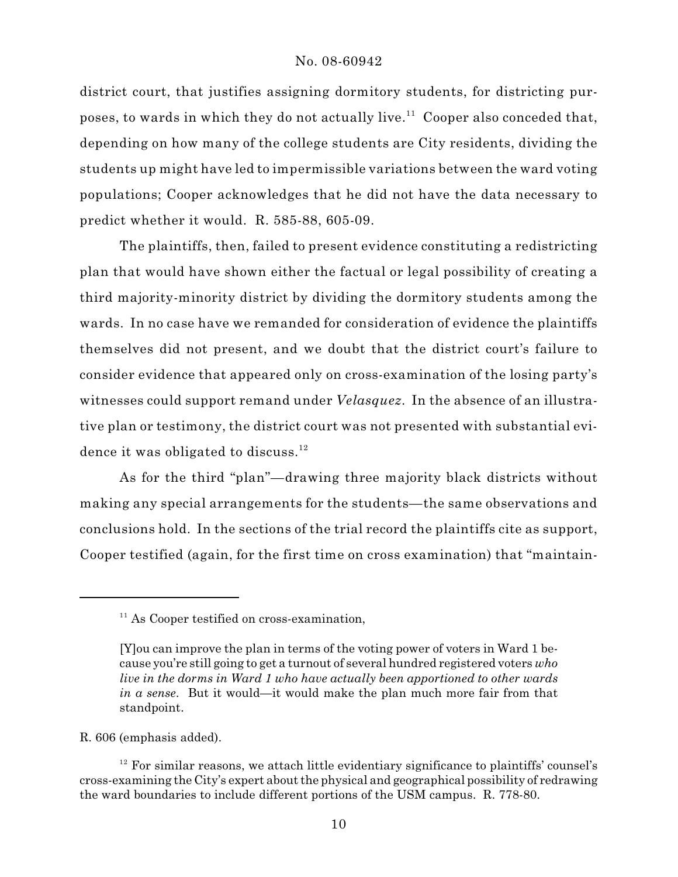district court, that justifies assigning dormitory students, for districting purposes, to wards in which they do not actually live.<sup>11</sup> Cooper also conceded that, depending on how many of the college students are City residents, dividing the students up might have led to impermissible variations between the ward voting populations; Cooper acknowledges that he did not have the data necessary to predict whether it would. R. 585-88, 605-09.

The plaintiffs, then, failed to present evidence constituting a redistricting plan that would have shown either the factual or legal possibility of creating a third majority-minority district by dividing the dormitory students among the wards. In no case have we remanded for consideration of evidence the plaintiffs themselves did not present, and we doubt that the district court's failure to consider evidence that appeared only on cross-examination of the losing party's witnesses could support remand under *Velasquez*. In the absence of an illustrative plan or testimony, the district court was not presented with substantial evidence it was obligated to discuss. $12$ 

As for the third "plan"—drawing three majority black districts without making any special arrangements for the students—the same observations and conclusions hold. In the sections of the trial record the plaintiffs cite as support, Cooper testified (again, for the first time on cross examination) that "maintain-

R. 606 (emphasis added).

 $11$  As Cooper testified on cross-examination,

<sup>[</sup>Y]ou can improve the plan in terms of the voting power of voters in Ward 1 because you're still going to get a turnout of several hundred registered voters *who live in the dorms in Ward 1 who have actually been apportioned to other wards in a sense*. But it would—it would make the plan much more fair from that standpoint.

 $12$  For similar reasons, we attach little evidentiary significance to plaintiffs' counsel's cross-examining the City's expert about the physical and geographical possibility of redrawing the ward boundaries to include different portions of the USM campus. R. 778-80.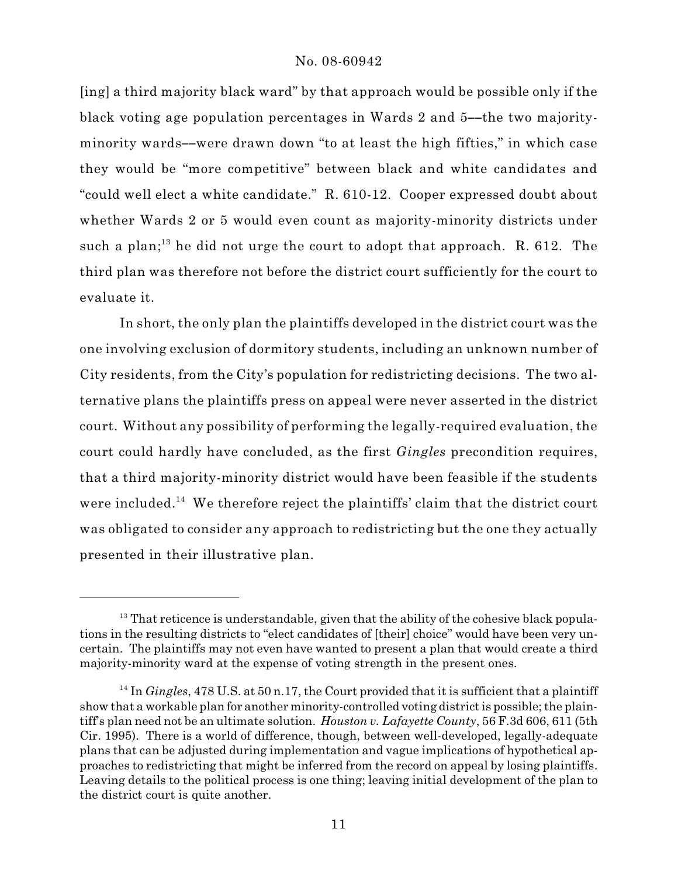[ing] a third majority black ward" by that approach would be possible only if the black voting age population percentages in Wards 2 and 5--the two majorityminority wards--were drawn down "to at least the high fifties," in which case they would be "more competitive" between black and white candidates and "could well elect a white candidate." R. 610-12. Cooper expressed doubt about whether Wards 2 or 5 would even count as majority-minority districts under such a plan;<sup>13</sup> he did not urge the court to adopt that approach. R. 612. The third plan was therefore not before the district court sufficiently for the court to evaluate it.

In short, the only plan the plaintiffs developed in the district court was the one involving exclusion of dormitory students, including an unknown number of City residents, from the City's population for redistricting decisions. The two alternative plans the plaintiffs press on appeal were never asserted in the district court. Without any possibility of performing the legally-required evaluation, the court could hardly have concluded, as the first *Gingles* precondition requires, that a third majority-minority district would have been feasible if the students were included.<sup>14</sup> We therefore reject the plaintiffs' claim that the district court was obligated to consider any approach to redistricting but the one they actually presented in their illustrative plan.

 $13$  That reticence is understandable, given that the ability of the cohesive black populations in the resulting districts to "elect candidates of [their] choice" would have been very uncertain. The plaintiffs may not even have wanted to present a plan that would create a third majority-minority ward at the expense of voting strength in the present ones.

 $14$  In *Gingles*, 478 U.S. at 50 n.17, the Court provided that it is sufficient that a plaintiff show that a workable plan for another minority-controlled voting district is possible; the plaintiff's plan need not be an ultimate solution. *Houston v. Lafayette County*, 56 F.3d 606, 611 (5th Cir. 1995). There is a world of difference, though, between well-developed, legally-adequate plans that can be adjusted during implementation and vague implications of hypothetical approaches to redistricting that might be inferred from the record on appeal by losing plaintiffs. Leaving details to the political process is one thing; leaving initial development of the plan to the district court is quite another.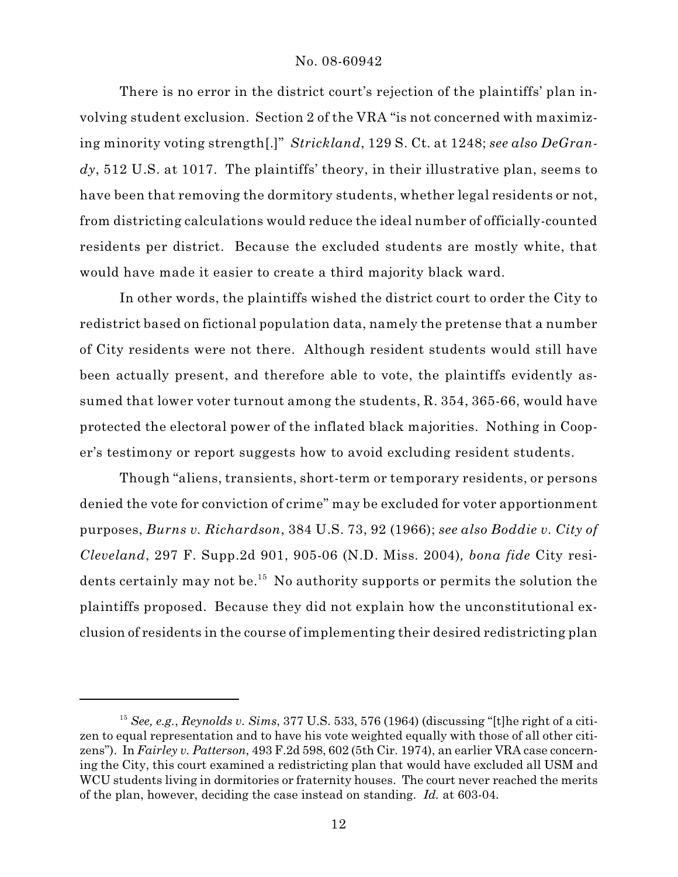There is no error in the district court's rejection of the plaintiffs' plan involving student exclusion. Section 2 of the VRA "is not concerned with maximizing minority voting strength[.]" *Strickland*, 129 S. Ct. at 1248; *see also DeGrandy*, 512 U.S. at 1017. The plaintiffs' theory, in their illustrative plan, seems to have been that removing the dormitory students, whether legal residents or not, from districting calculations would reduce the ideal number of officially-counted residents per district. Because the excluded students are mostly white, that would have made it easier to create a third majority black ward.

In other words, the plaintiffs wished the district court to order the City to redistrict based on fictional population data, namely the pretense that a number of City residents were not there. Although resident students would still have been actually present, and therefore able to vote, the plaintiffs evidently assumed that lower voter turnout among the students, R. 354, 365-66, would have protected the electoral power of the inflated black majorities. Nothing in Cooper's testimony or report suggests how to avoid excluding resident students.

Though "aliens, transients, short-term or temporary residents, or persons denied the vote for conviction of crime" may be excluded for voter apportionment purposes, *Burns v. Richardson*, 384 U.S. 73, 92 (1966); *see also Boddie v. City of Cleveland*, 297 F. Supp.2d 901, 905-06 (N.D. Miss. 2004)*, bona fide* City residents certainly may not be.<sup>15</sup> No authority supports or permits the solution the plaintiffs proposed. Because they did not explain how the unconstitutional exclusion of residents in the course of implementing their desired redistricting plan

<sup>&</sup>lt;sup>15</sup> See, e.g.,  $Reynolds$  v. Sims, 377 U.S. 533, 576 (1964) (discussing "[t]he right of a citizen to equal representation and to have his vote weighted equally with those of all other citizens"). In *Fairley v. Patterson*, 493 F.2d 598, 602 (5th Cir. 1974), an earlier VRA case concerning the City, this court examined a redistricting plan that would have excluded all USM and WCU students living in dormitories or fraternity houses. The court never reached the merits of the plan, however, deciding the case instead on standing. *Id.* at 603-04.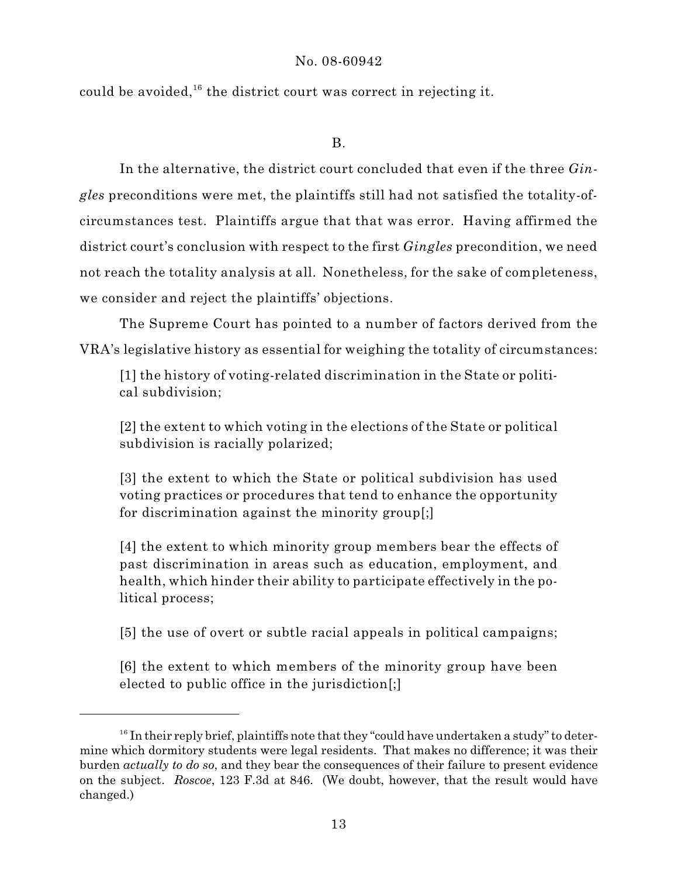could be avoided,<sup>16</sup> the district court was correct in rejecting it.

# B.

In the alternative, the district court concluded that even if the three *Gingles* preconditions were met, the plaintiffs still had not satisfied the totality-ofcircumstances test. Plaintiffs argue that that was error. Having affirmed the district court's conclusion with respect to the first *Gingles* precondition, we need not reach the totality analysis at all. Nonetheless, for the sake of completeness, we consider and reject the plaintiffs' objections.

The Supreme Court has pointed to a number of factors derived from the VRA's legislative history as essential for weighing the totality of circumstances:

[1] the history of voting-related discrimination in the State or political subdivision;

[2] the extent to which voting in the elections of the State or political subdivision is racially polarized;

[3] the extent to which the State or political subdivision has used voting practices or procedures that tend to enhance the opportunity for discrimination against the minority group[;]

[4] the extent to which minority group members bear the effects of past discrimination in areas such as education, employment, and health, which hinder their ability to participate effectively in the political process;

[5] the use of overt or subtle racial appeals in political campaigns;

[6] the extent to which members of the minority group have been elected to public office in the jurisdiction[;]

 $16$  In their reply brief, plaintiffs note that they "could have undertaken a study" to determine which dormitory students were legal residents. That makes no difference; it was their burden *actually to do so*, and they bear the consequences of their failure to present evidence on the subject. *Roscoe*, 123 F.3d at 846. (We doubt, however, that the result would have changed.)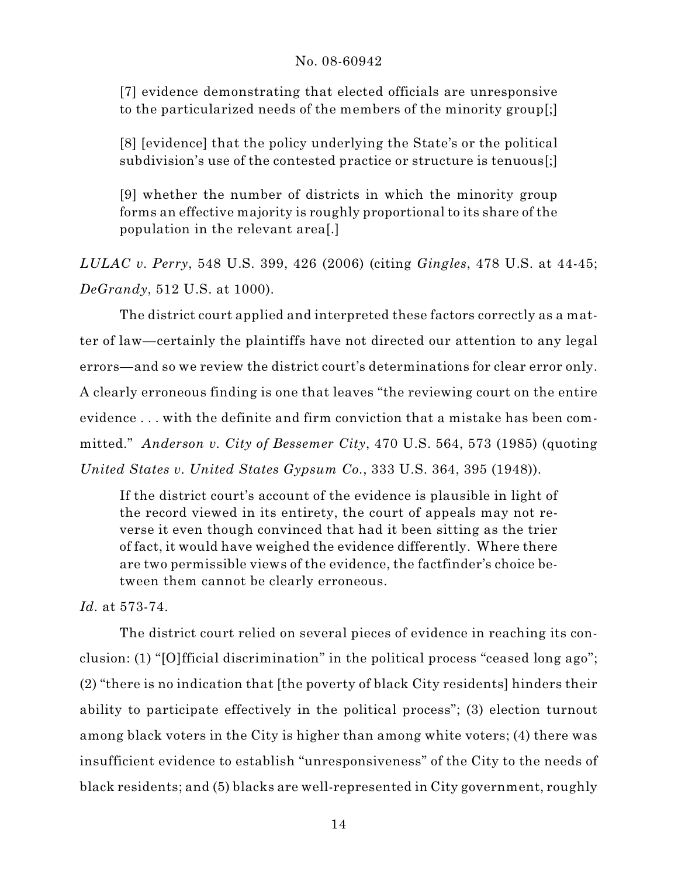[7] evidence demonstrating that elected officials are unresponsive to the particularized needs of the members of the minority group[;]

[8] [evidence] that the policy underlying the State's or the political subdivision's use of the contested practice or structure is tenuous[;]

[9] whether the number of districts in which the minority group forms an effective majority is roughly proportional to its share of the population in the relevant area[.]

*LULAC v. Perry*, 548 U.S. 399, 426 (2006) (citing *Gingles*, 478 U.S. at 44-45; *DeGrandy*, 512 U.S. at 1000).

The district court applied and interpreted these factors correctly as a matter of law—certainly the plaintiffs have not directed our attention to any legal errors—and so we review the district court's determinations for clear error only. A clearly erroneous finding is one that leaves "the reviewing court on the entire evidence . . . with the definite and firm conviction that a mistake has been committed." *Anderson v. City of Bessemer City*, 470 U.S. 564, 573 (1985) (quoting *United States v. United States Gypsum Co.*, 333 U.S. 364, 395 (1948)).

If the district court's account of the evidence is plausible in light of the record viewed in its entirety, the court of appeals may not reverse it even though convinced that had it been sitting as the trier of fact, it would have weighed the evidence differently. Where there are two permissible views of the evidence, the factfinder's choice between them cannot be clearly erroneous.

*Id.* at 573-74.

The district court relied on several pieces of evidence in reaching its conclusion: (1) "[O]fficial discrimination" in the political process "ceased long ago"; (2) "there is no indication that [the poverty of black City residents] hinders their ability to participate effectively in the political process"; (3) election turnout among black voters in the City is higher than among white voters; (4) there was insufficient evidence to establish "unresponsiveness" of the City to the needs of black residents; and (5) blacks are well-represented in City government, roughly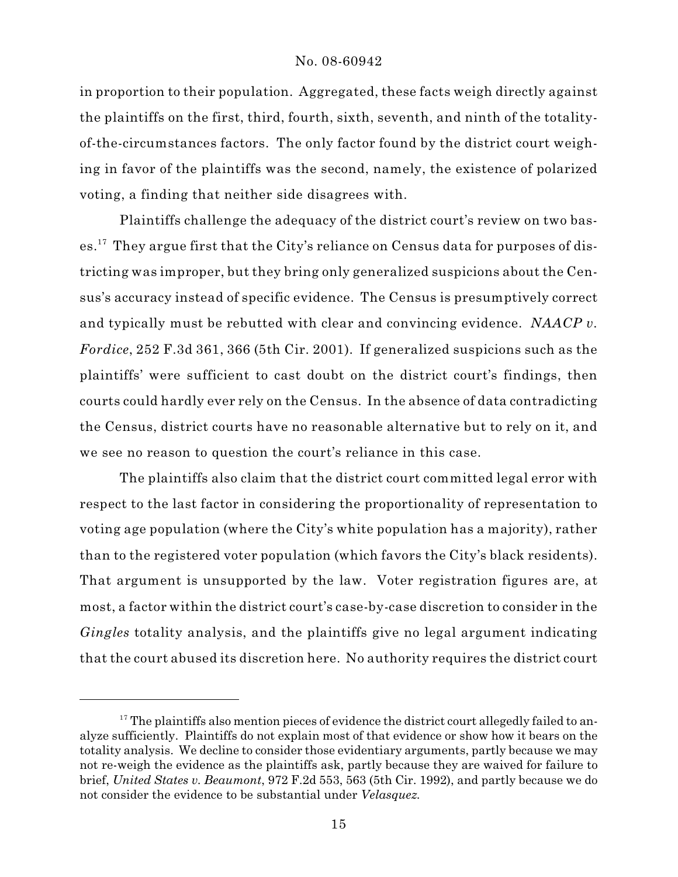in proportion to their population. Aggregated, these facts weigh directly against the plaintiffs on the first, third, fourth, sixth, seventh, and ninth of the totalityof-the-circumstances factors. The only factor found by the district court weighing in favor of the plaintiffs was the second, namely, the existence of polarized voting, a finding that neither side disagrees with.

Plaintiffs challenge the adequacy of the district court's review on two bases.<sup>17</sup> They argue first that the City's reliance on Census data for purposes of districting was improper, but they bring only generalized suspicions about the Census's accuracy instead of specific evidence. The Census is presumptively correct and typically must be rebutted with clear and convincing evidence. *NAACP v. Fordice*, 252 F.3d 361, 366 (5th Cir. 2001). If generalized suspicions such as the plaintiffs' were sufficient to cast doubt on the district court's findings, then courts could hardly ever rely on the Census. In the absence of data contradicting the Census, district courts have no reasonable alternative but to rely on it, and we see no reason to question the court's reliance in this case.

The plaintiffs also claim that the district court committed legal error with respect to the last factor in considering the proportionality of representation to voting age population (where the City's white population has a majority), rather than to the registered voter population (which favors the City's black residents). That argument is unsupported by the law. Voter registration figures are, at most, a factor within the district court's case-by-case discretion to consider in the *Gingles* totality analysis, and the plaintiffs give no legal argument indicating that the court abused its discretion here. No authority requires the district court

 $17$  The plaintiffs also mention pieces of evidence the district court allegedly failed to analyze sufficiently. Plaintiffs do not explain most of that evidence or show how it bears on the totality analysis. We decline to consider those evidentiary arguments, partly because we may not re-weigh the evidence as the plaintiffs ask, partly because they are waived for failure to brief, *United States v. Beaumont*, 972 F.2d 553, 563 (5th Cir. 1992), and partly because we do not consider the evidence to be substantial under *Velasquez.*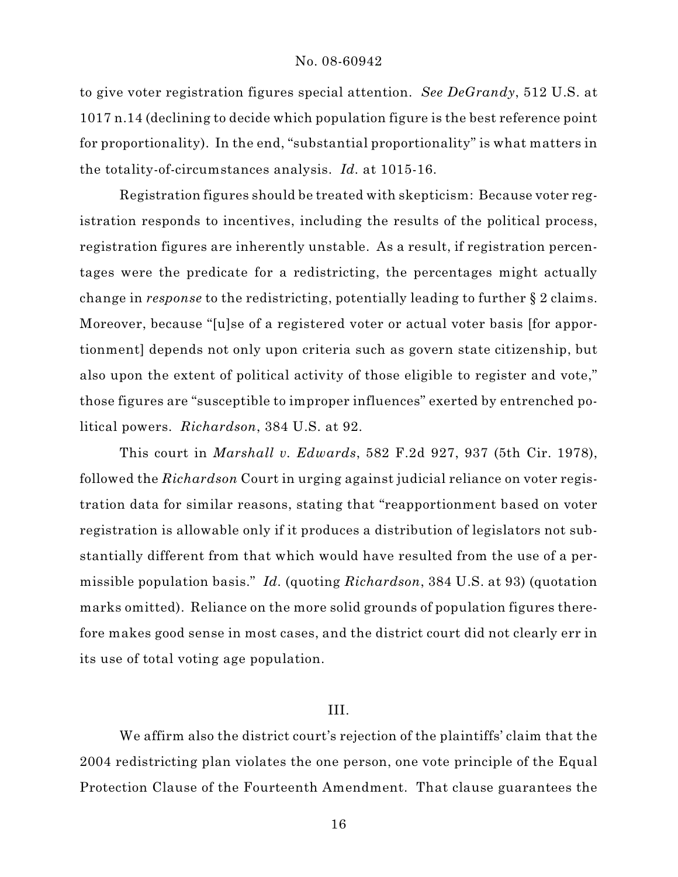to give voter registration figures special attention. *See DeGrandy*, 512 U.S. at 1017 n.14 (declining to decide which population figure is the best reference point for proportionality). In the end, "substantial proportionality" is what matters in the totality-of-circumstances analysis. *Id.* at 1015-16.

Registration figures should be treated with skepticism: Because voter registration responds to incentives, including the results of the political process, registration figures are inherently unstable. As a result, if registration percentages were the predicate for a redistricting, the percentages might actually change in *response* to the redistricting, potentially leading to further § 2 claims. Moreover, because "[u]se of a registered voter or actual voter basis [for apportionment] depends not only upon criteria such as govern state citizenship, but also upon the extent of political activity of those eligible to register and vote," those figures are "susceptible to improper influences" exerted by entrenched political powers. *Richardson*, 384 U.S. at 92.

This court in *Marshall v. Edwards*, 582 F.2d 927, 937 (5th Cir. 1978), followed the *Richardson* Court in urging against judicial reliance on voter registration data for similar reasons, stating that "reapportionment based on voter registration is allowable only if it produces a distribution of legislators not substantially different from that which would have resulted from the use of a permissible population basis." *Id.* (quoting *Richardson*, 384 U.S. at 93) (quotation marks omitted). Reliance on the more solid grounds of population figures therefore makes good sense in most cases, and the district court did not clearly err in its use of total voting age population.

### III.

We affirm also the district court's rejection of the plaintiffs' claim that the 2004 redistricting plan violates the one person, one vote principle of the Equal Protection Clause of the Fourteenth Amendment. That clause guarantees the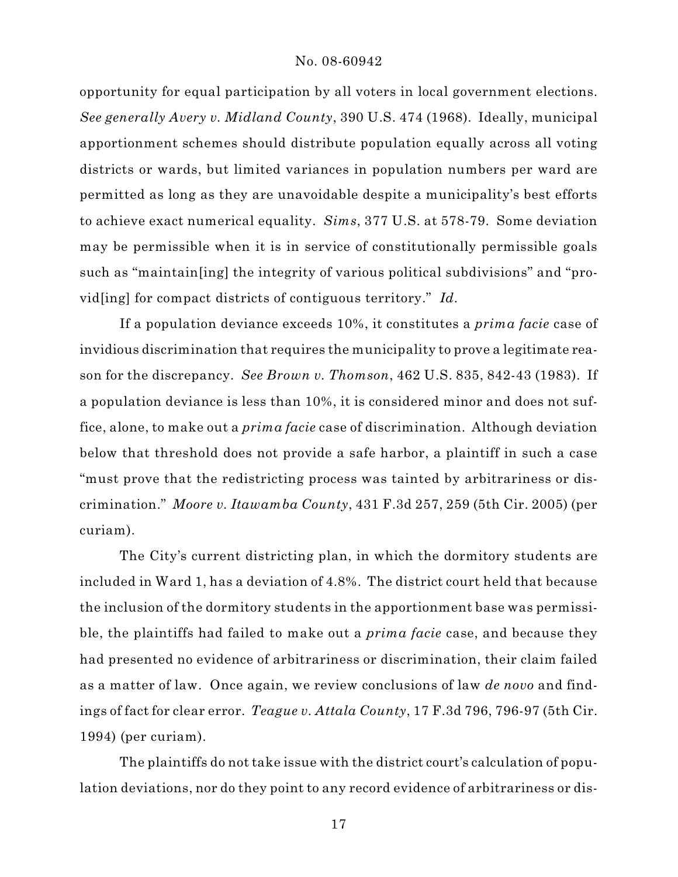opportunity for equal participation by all voters in local government elections. *See generally Avery v. Midland County*, 390 U.S. 474 (1968). Ideally, municipal apportionment schemes should distribute population equally across all voting districts or wards, but limited variances in population numbers per ward are permitted as long as they are unavoidable despite a municipality's best efforts to achieve exact numerical equality. *Sims*, 377 U.S. at 578-79. Some deviation may be permissible when it is in service of constitutionally permissible goals such as "maintain[ing] the integrity of various political subdivisions" and "provid[ing] for compact districts of contiguous territory." *Id.* 

If a population deviance exceeds 10%, it constitutes a *prima facie* case of invidious discrimination that requires the municipality to prove a legitimate reason for the discrepancy. *See Brown v. Thomson*, 462 U.S. 835, 842-43 (1983). If a population deviance is less than 10%, it is considered minor and does not suffice, alone, to make out a *prima facie* case of discrimination. Although deviation below that threshold does not provide a safe harbor, a plaintiff in such a case "must prove that the redistricting process was tainted by arbitrariness or discrimination." *Moore v. Itawamba County*, 431 F.3d 257, 259 (5th Cir. 2005) (per curiam).

The City's current districting plan, in which the dormitory students are included in Ward 1, has a deviation of 4.8%. The district court held that because the inclusion of the dormitory students in the apportionment base was permissible, the plaintiffs had failed to make out a *prima facie* case, and because they had presented no evidence of arbitrariness or discrimination, their claim failed as a matter of law. Once again, we review conclusions of law *de novo* and findings of fact for clear error. *Teague v. Attala County*, 17 F.3d 796, 796-97 (5th Cir. 1994) (per curiam).

The plaintiffs do not take issue with the district court's calculation of population deviations, nor do they point to any record evidence of arbitrariness or dis-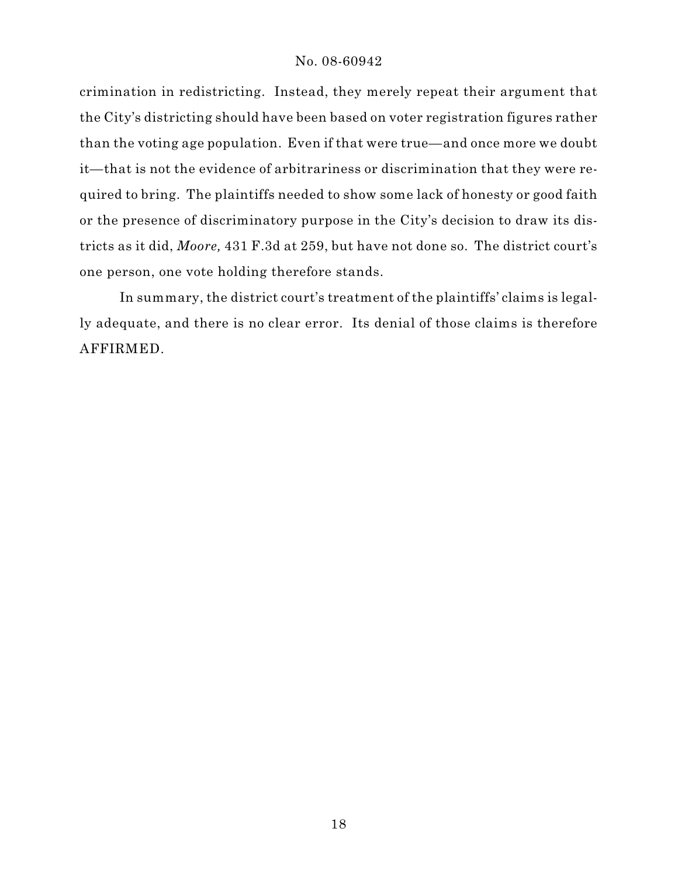crimination in redistricting. Instead, they merely repeat their argument that the City's districting should have been based on voter registration figures rather than the voting age population. Even if that were true—and once more we doubt it—that is not the evidence of arbitrariness or discrimination that they were required to bring. The plaintiffs needed to show some lack of honesty or good faith or the presence of discriminatory purpose in the City's decision to draw its districts as it did, *Moore,* 431 F.3d at 259, but have not done so. The district court's one person, one vote holding therefore stands.

In summary, the district court's treatment of the plaintiffs' claims is legally adequate, and there is no clear error. Its denial of those claims is therefore AFFIRMED.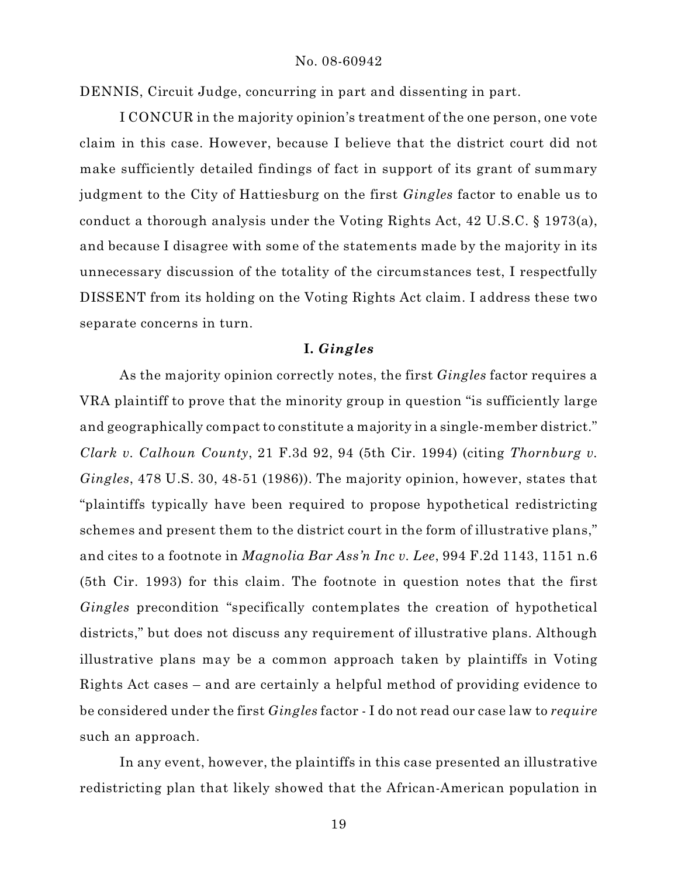DENNIS, Circuit Judge, concurring in part and dissenting in part.

I CONCUR in the majority opinion's treatment of the one person, one vote claim in this case. However, because I believe that the district court did not make sufficiently detailed findings of fact in support of its grant of summary judgment to the City of Hattiesburg on the first *Gingles* factor to enable us to conduct a thorough analysis under the Voting Rights Act, 42 U.S.C. § 1973(a), and because I disagree with some of the statements made by the majority in its unnecessary discussion of the totality of the circumstances test, I respectfully DISSENT from its holding on the Voting Rights Act claim. I address these two separate concerns in turn.

# **I.** *Gingles*

As the majority opinion correctly notes, the first *Gingles* factor requires a VRA plaintiff to prove that the minority group in question "is sufficiently large and geographically compact to constitute a majority in a single-member district." *Clark v. Calhoun County*, 21 F.3d 92, 94 (5th Cir. 1994) (citing *Thornburg v. Gingles*, 478 U.S. 30, 48-51 (1986)). The majority opinion, however, states that "plaintiffs typically have been required to propose hypothetical redistricting schemes and present them to the district court in the form of illustrative plans," and cites to a footnote in *Magnolia Bar Ass'n Inc v. Lee*, 994 F.2d 1143, 1151 n.6 (5th Cir. 1993) for this claim. The footnote in question notes that the first *Gingles* precondition "specifically contemplates the creation of hypothetical districts," but does not discuss any requirement of illustrative plans. Although illustrative plans may be a common approach taken by plaintiffs in Voting Rights Act cases – and are certainly a helpful method of providing evidence to be considered under the first *Gingles* factor - I do not read our case law to *require* such an approach.

In any event, however, the plaintiffs in this case presented an illustrative redistricting plan that likely showed that the African-American population in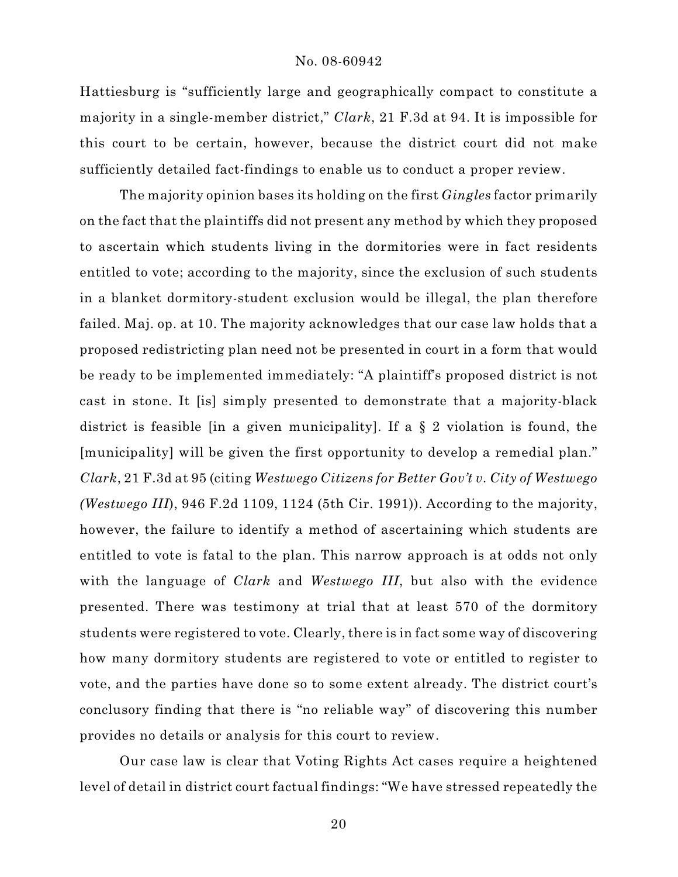Hattiesburg is "sufficiently large and geographically compact to constitute a majority in a single-member district," *Clark*, 21 F.3d at 94. It is impossible for this court to be certain, however, because the district court did not make sufficiently detailed fact-findings to enable us to conduct a proper review.

The majority opinion bases its holding on the first *Gingles* factor primarily on the fact that the plaintiffs did not present any method by which they proposed to ascertain which students living in the dormitories were in fact residents entitled to vote; according to the majority, since the exclusion of such students in a blanket dormitory-student exclusion would be illegal, the plan therefore failed. Maj. op. at 10. The majority acknowledges that our case law holds that a proposed redistricting plan need not be presented in court in a form that would be ready to be implemented immediately: "A plaintiff's proposed district is not cast in stone. It [is] simply presented to demonstrate that a majority-black district is feasible [in a given municipality]. If a § 2 violation is found, the [municipality] will be given the first opportunity to develop a remedial plan." *Clark*, 21 F.3d at 95 (citing *Westwego Citizens for Better Gov't v. City of Westwego (Westwego III*), 946 F.2d 1109, 1124 (5th Cir. 1991)). According to the majority, however, the failure to identify a method of ascertaining which students are entitled to vote is fatal to the plan. This narrow approach is at odds not only with the language of *Clark* and *Westwego III*, but also with the evidence presented. There was testimony at trial that at least 570 of the dormitory students were registered to vote. Clearly, there is in fact some way of discovering how many dormitory students are registered to vote or entitled to register to vote, and the parties have done so to some extent already. The district court's conclusory finding that there is "no reliable way" of discovering this number provides no details or analysis for this court to review.

Our case law is clear that Voting Rights Act cases require a heightened level of detail in district court factual findings: "We have stressed repeatedly the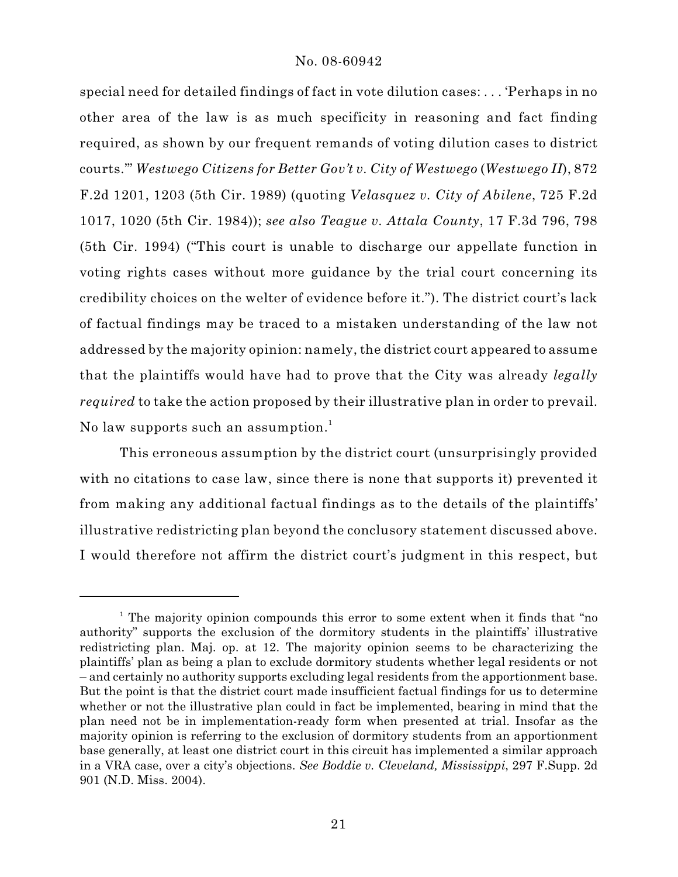special need for detailed findings of fact in vote dilution cases: . . . 'Perhaps in no other area of the law is as much specificity in reasoning and fact finding required, as shown by our frequent remands of voting dilution cases to district courts.'" *Westwego Citizens for Better Gov't v. City of Westwego* (*Westwego II*), 872 F.2d 1201, 1203 (5th Cir. 1989) (quoting *Velasquez v. City of Abilene*, 725 F.2d 1017, 1020 (5th Cir. 1984)); *see also Teague v. Attala County*, 17 F.3d 796, 798 (5th Cir. 1994) ("This court is unable to discharge our appellate function in voting rights cases without more guidance by the trial court concerning its credibility choices on the welter of evidence before it."). The district court's lack of factual findings may be traced to a mistaken understanding of the law not addressed by the majority opinion: namely, the district court appeared to assume that the plaintiffs would have had to prove that the City was already *legally required* to take the action proposed by their illustrative plan in order to prevail. No law supports such an assumption.<sup>1</sup>

This erroneous assumption by the district court (unsurprisingly provided with no citations to case law, since there is none that supports it) prevented it from making any additional factual findings as to the details of the plaintiffs' illustrative redistricting plan beyond the conclusory statement discussed above. I would therefore not affirm the district court's judgment in this respect, but

<sup>&</sup>lt;sup>1</sup> The majority opinion compounds this error to some extent when it finds that "no authority" supports the exclusion of the dormitory students in the plaintiffs' illustrative redistricting plan. Maj. op. at 12. The majority opinion seems to be characterizing the plaintiffs' plan as being a plan to exclude dormitory students whether legal residents or not – and certainly no authority supports excluding legal residents from the apportionment base. But the point is that the district court made insufficient factual findings for us to determine whether or not the illustrative plan could in fact be implemented, bearing in mind that the plan need not be in implementation-ready form when presented at trial. Insofar as the majority opinion is referring to the exclusion of dormitory students from an apportionment base generally, at least one district court in this circuit has implemented a similar approach in a VRA case, over a city's objections. *See Boddie v. Cleveland, Mississippi*, 297 F.Supp. 2d 901 (N.D. Miss. 2004).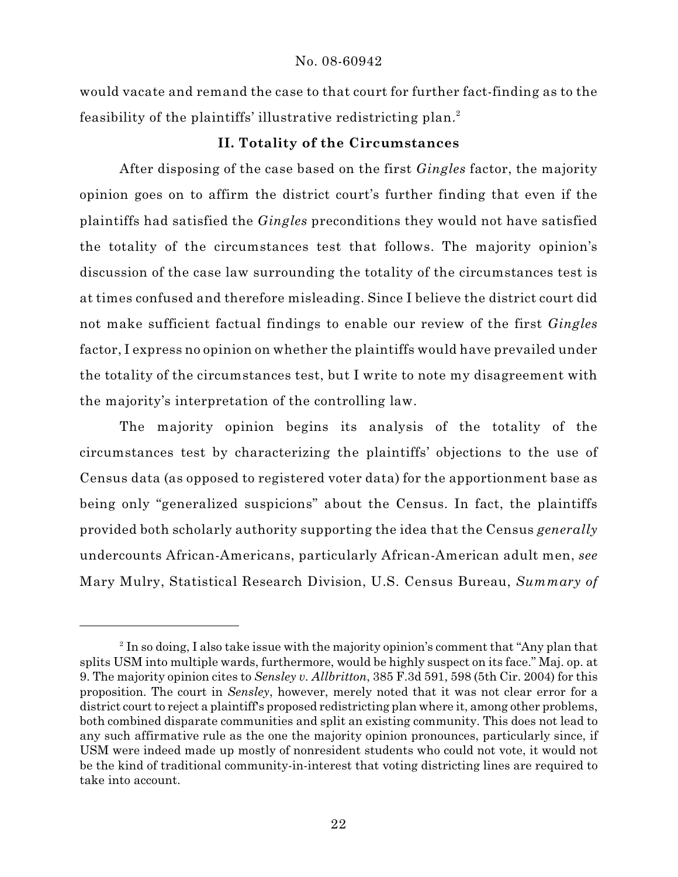would vacate and remand the case to that court for further fact-finding as to the feasibility of the plaintiffs' illustrative redistricting plan.<sup>2</sup>

## **II. Totality of the Circumstances**

After disposing of the case based on the first *Gingles* factor, the majority opinion goes on to affirm the district court's further finding that even if the plaintiffs had satisfied the *Gingles* preconditions they would not have satisfied the totality of the circumstances test that follows. The majority opinion's discussion of the case law surrounding the totality of the circumstances test is at times confused and therefore misleading. Since I believe the district court did not make sufficient factual findings to enable our review of the first *Gingles* factor, I express no opinion on whether the plaintiffs would have prevailed under the totality of the circumstances test, but I write to note my disagreement with the majority's interpretation of the controlling law.

The majority opinion begins its analysis of the totality of the circumstances test by characterizing the plaintiffs' objections to the use of Census data (as opposed to registered voter data) for the apportionment base as being only "generalized suspicions" about the Census. In fact, the plaintiffs provided both scholarly authority supporting the idea that the Census *generally* undercounts African-Americans, particularly African-American adult men, *see* Mary Mulry, Statistical Research Division, U.S. Census Bureau, *Summary of*

 $^2$  In so doing, I also take issue with the majority opinion's comment that "Any plan that splits USM into multiple wards, furthermore, would be highly suspect on its face." Maj. op. at 9. The majority opinion cites to *Sensley v. Allbritton*, 385 F.3d 591, 598 (5th Cir. 2004) for this proposition. The court in *Sensley*, however, merely noted that it was not clear error for a district court to reject a plaintiff's proposed redistricting plan where it, among other problems, both combined disparate communities and split an existing community. This does not lead to any such affirmative rule as the one the majority opinion pronounces, particularly since, if USM were indeed made up mostly of nonresident students who could not vote, it would not be the kind of traditional community-in-interest that voting districting lines are required to take into account.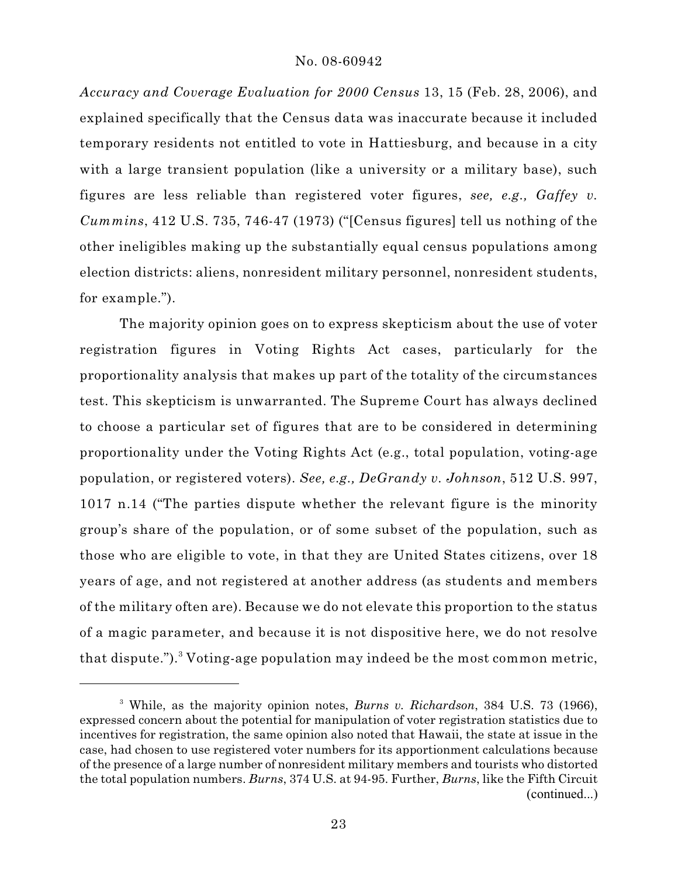*Accuracy and Coverage Evaluation for 2000 Census* 13, 15 (Feb. 28, 2006), and explained specifically that the Census data was inaccurate because it included temporary residents not entitled to vote in Hattiesburg, and because in a city with a large transient population (like a university or a military base), such figures are less reliable than registered voter figures, *see, e.g., Gaffey v. Cummins*, 412 U.S. 735, 746-47 (1973) ("[Census figures] tell us nothing of the other ineligibles making up the substantially equal census populations among election districts: aliens, nonresident military personnel, nonresident students, for example.").

The majority opinion goes on to express skepticism about the use of voter registration figures in Voting Rights Act cases, particularly for the proportionality analysis that makes up part of the totality of the circumstances test. This skepticism is unwarranted. The Supreme Court has always declined to choose a particular set of figures that are to be considered in determining proportionality under the Voting Rights Act (e.g., total population, voting-age population, or registered voters). *See, e.g., DeGrandy v. Johnson*, 512 U.S. 997, 1017 n.14 ("The parties dispute whether the relevant figure is the minority group's share of the population, or of some subset of the population, such as those who are eligible to vote, in that they are United States citizens, over 18 years of age, and not registered at another address (as students and members of the military often are). Because we do not elevate this proportion to the status of a magic parameter, and because it is not dispositive here, we do not resolve that dispute."). Voting-age population may indeed be the most common metric,

<sup>&</sup>lt;sup>3</sup> While, as the majority opinion notes, *Burns v. Richardson*, 384 U.S. 73 (1966), expressed concern about the potential for manipulation of voter registration statistics due to incentives for registration, the same opinion also noted that Hawaii, the state at issue in the case, had chosen to use registered voter numbers for its apportionment calculations because of the presence of a large number of nonresident military members and tourists who distorted the total population numbers. *Burns*, 374 U.S. at 94-95. Further, *Burns*, like the Fifth Circuit (continued...)